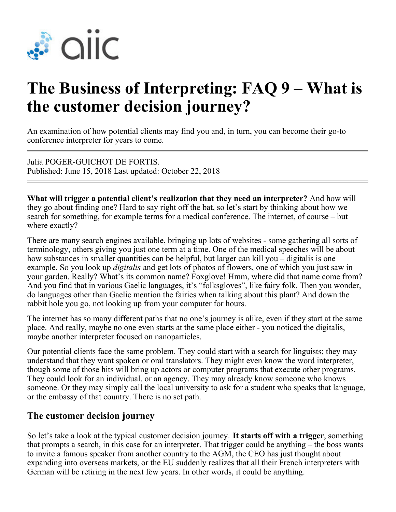

## **The Business of Interpreting: FAQ 9 – What is the customer decision journey?**

An examination of how potential clients may find you and, in turn, you can become their go-to conference interpreter for years to come.

Julia POGER-GUICHOT DE FORTIS. Published: June 15, 2018 Last updated: October 22, 2018

**What will trigger a potential client's realization that they need an interpreter?** And how will they go about finding one? Hard to say right off the bat, so let's start by thinking about how we search for something, for example terms for a medical conference. The internet, of course – but where exactly?

There are many search engines available, bringing up lots of websites - some gathering all sorts of terminology, others giving you just one term at a time. One of the medical speeches will be about how substances in smaller quantities can be helpful, but larger can kill you – digitalis is one example. So you look up *digitalis* and get lots of photos of flowers, one of which you just saw in your garden. Really? What's its common name? Foxglove! Hmm, where did that name come from? And you find that in various Gaelic languages, it's "folksgloves", like fairy folk. Then you wonder, do languages other than Gaelic mention the fairies when talking about this plant? And down the rabbit hole you go, not looking up from your computer for hours.

The internet has so many different paths that no one's journey is alike, even if they start at the same place. And really, maybe no one even starts at the same place either - you noticed the digitalis, maybe another interpreter focused on nanoparticles.

Our potential clients face the same problem. They could start with a search for linguists; they may understand that they want spoken or oral translators. They might even know the word interpreter, though some of those hits will bring up actors or computer programs that execute other programs. They could look for an individual, or an agency. They may already know someone who knows someone. Or they may simply call the local university to ask for a student who speaks that language, or the embassy of that country. There is no set path.

## **The customer decision journey**

So let's take a look at the typical customer decision journey. **It starts off with a trigger**, something that prompts a search, in this case for an interpreter. That trigger could be anything – the boss wants to invite a famous speaker from another country to the AGM, the CEO has just thought about expanding into overseas markets, or the EU suddenly realizes that all their French interpreters with German will be retiring in the next few years. In other words, it could be anything.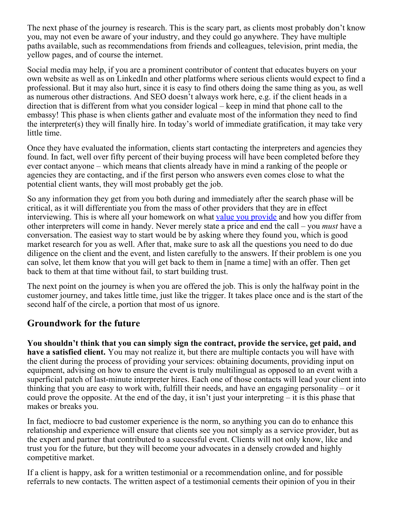The next phase of the journey is research. This is the scary part, as clients most probably don't know you, may not even be aware of your industry, and they could go anywhere. They have multiple paths available, such as recommendations from friends and colleagues, television, print media, the yellow pages, and of course the internet.

Social media may help, if you are a prominent contributor of content that educates buyers on your own website as well as on LinkedIn and other platforms where serious clients would expect to find a professional. But it may also hurt, since it is easy to find others doing the same thing as you, as well as numerous other distractions. And SEO doesn't always work here, e.g. if the client heads in a direction that is different from what you consider logical – keep in mind that phone call to the embassy! This phase is when clients gather and evaluate most of the information they need to find the interpreter(s) they will finally hire. In today's world of immediate gratification, it may take very little time.

Once they have evaluated the information, clients start contacting the interpreters and agencies they found. In fact, well over fifty percent of their buying process will have been completed before they ever contact anyone – which means that clients already have in mind a ranking of the people or agencies they are contacting, and if the first person who answers even comes close to what the potential client wants, they will most probably get the job.

So any information they get from you both during and immediately after the search phase will be critical, as it will differentiate you from the mass of other providers that they are in effect interviewing. This is where all your homework on what [value you provide](https://members.aiic.net/page/7831) and how you differ from other interpreters will come in handy. Never merely state a price and end the call – you *must* have a conversation. The easiest way to start would be by asking where they found you, which is good market research for you as well. After that, make sure to ask all the questions you need to do due diligence on the client and the event, and listen carefully to the answers. If their problem is one you can solve, let them know that you will get back to them in [name a time] with an offer. Then get back to them at that time without fail, to start building trust.

The next point on the journey is when you are offered the job. This is only the halfway point in the customer journey, and takes little time, just like the trigger. It takes place once and is the start of the second half of the circle, a portion that most of us ignore.

## **Groundwork for the future**

**You shouldn't think that you can simply sign the contract, provide the service, get paid, and have a satisfied client.** You may not realize it, but there are multiple contacts you will have with the client during the process of providing your services: obtaining documents, providing input on equipment, advising on how to ensure the event is truly multilingual as opposed to an event with a superficial patch of last-minute interpreter hires. Each one of those contacts will lead your client into thinking that you are easy to work with, fulfill their needs, and have an engaging personality – or it could prove the opposite. At the end of the day, it isn't just your interpreting – it is this phase that makes or breaks you.

In fact, mediocre to bad customer experience is the norm, so anything you can do to enhance this relationship and experience will ensure that clients see you not simply as a service provider, but as the expert and partner that contributed to a successful event. Clients will not only know, like and trust you for the future, but they will become your advocates in a densely crowded and highly competitive market.

If a client is happy, ask for a written testimonial or a recommendation online, and for possible referrals to new contacts. The written aspect of a testimonial cements their opinion of you in their